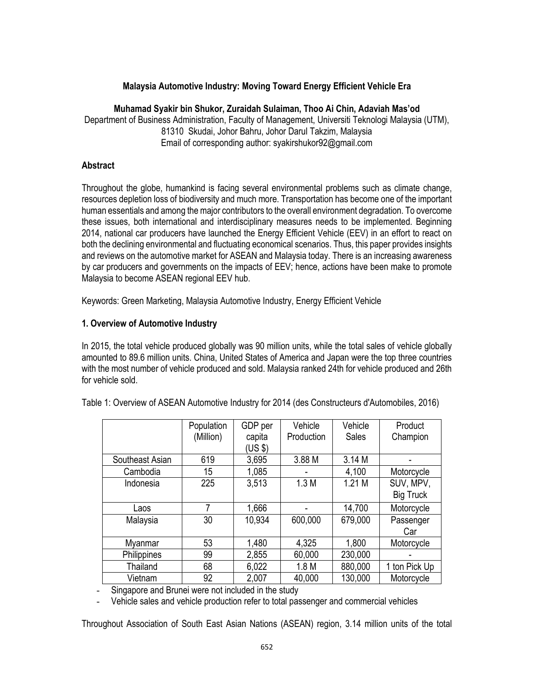## **Malaysia Automotive Industry: Moving Toward Energy Efficient Vehicle Era**

#### **Muhamad Syakir bin Shukor, Zuraidah Sulaiman, Thoo Ai Chin, Adaviah Mas'od**

Department of Business Administration, Faculty of Management, Universiti Teknologi Malaysia (UTM), 81310 Skudai, Johor Bahru, Johor Darul Takzim, Malaysia Email of corresponding author: syakirshukor92@gmail.com

#### **Abstract**

Throughout the globe, humankind is facing several environmental problems such as climate change, resources depletion loss of biodiversity and much more. Transportation has become one of the important human essentials and among the major contributors to the overall environment degradation. To overcome these issues, both international and interdisciplinary measures needs to be implemented. Beginning 2014, national car producers have launched the Energy Efficient Vehicle (EEV) in an effort to react on both the declining environmental and fluctuating economical scenarios. Thus, this paper provides insights and reviews on the automotive market for ASEAN and Malaysia today. There is an increasing awareness by car producers and governments on the impacts of EEV; hence, actions have been make to promote Malaysia to become ASEAN regional EEV hub.

Keywords: Green Marketing, Malaysia Automotive Industry, Energy Efficient Vehicle

## **1. Overview of Automotive Industry**

In 2015, the total vehicle produced globally was 90 million units, while the total sales of vehicle globally amounted to 89.6 million units. China, United States of America and Japan were the top three countries with the most number of vehicle produced and sold. Malaysia ranked 24th for vehicle produced and 26th for vehicle sold.

|                 | Population | GDP per | Vehicle          | Vehicle      | Product          |
|-----------------|------------|---------|------------------|--------------|------------------|
|                 | (Million)  | capita  | Production       | <b>Sales</b> | Champion         |
|                 |            | (US \$) |                  |              |                  |
| Southeast Asian | 619        | 3,695   | 3.88 M           | 3.14 M       |                  |
| Cambodia        | 15         | 1,085   |                  | 4,100        | Motorcycle       |
| Indonesia       | 225        | 3,513   | 1.3M             | 1.21M        | SUV, MPV,        |
|                 |            |         |                  |              | <b>Big Truck</b> |
| Laos            | 7          | 1,666   |                  | 14,700       | Motorcycle       |
| Malaysia        | 30         | 10,934  | 600,000          | 679,000      | Passenger        |
|                 |            |         |                  |              | Car              |
| Myanmar         | 53         | 1,480   | 4,325            | 1,800        | Motorcycle       |
| Philippines     | 99         | 2,855   | 60,000           | 230,000      |                  |
| Thailand        | 68         | 6,022   | 1.8 <sub>M</sub> | 880,000      | 1 ton Pick Up    |
| Vietnam         | 92         | 2,007   | 40,000           | 130,000      | Motorcycle       |

Table 1: Overview of ASEAN Automotive Industry for 2014 (des Constructeurs d'Automobiles, 2016)

Singapore and Brunei were not included in the study

- Vehicle sales and vehicle production refer to total passenger and commercial vehicles

Throughout Association of South East Asian Nations (ASEAN) region, 3.14 million units of the total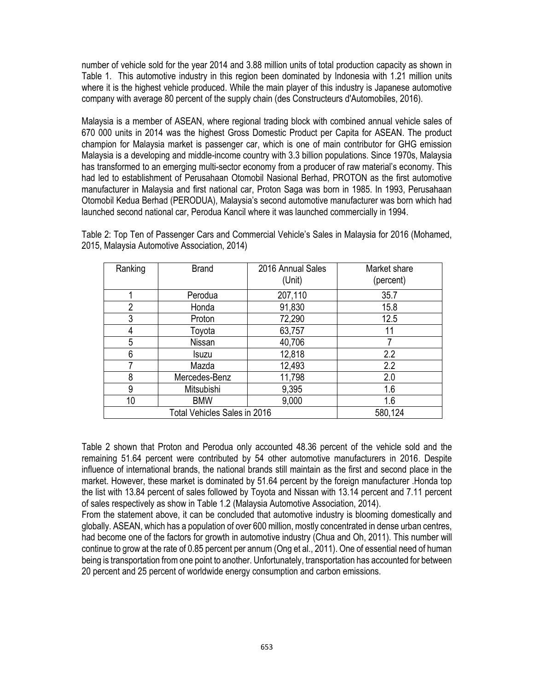number of vehicle sold for the year 2014 and 3.88 million units of total production capacity as shown in Table 1. This automotive industry in this region been dominated by Indonesia with 1.21 million units where it is the highest vehicle produced. While the main player of this industry is Japanese automotive company with average 80 percent of the supply chain (des Constructeurs d'Automobiles, 2016).

Malaysia is a member of ASEAN, where regional trading block with combined annual vehicle sales of 670 000 units in 2014 was the highest Gross Domestic Product per Capita for ASEAN. The product champion for Malaysia market is passenger car, which is one of main contributor for GHG emission Malaysia is a developing and middle-income country with 3.3 billion populations. Since 1970s, Malaysia has transformed to an emerging multi-sector economy from a producer of raw material's economy. This had led to establishment of Perusahaan Otomobil Nasional Berhad, PROTON as the first automotive manufacturer in Malaysia and first national car, Proton Saga was born in 1985. In 1993, Perusahaan Otomobil Kedua Berhad (PERODUA), Malaysia's second automotive manufacturer was born which had launched second national car, Perodua Kancil where it was launched commercially in 1994.

Table 2: Top Ten of Passenger Cars and Commercial Vehicle's Sales in Malaysia for 2016 (Mohamed, 2015, Malaysia Automotive Association, 2014)

| Ranking | <b>Brand</b>                 | 2016 Annual Sales<br>(Unit) | Market share<br>(percent) |
|---------|------------------------------|-----------------------------|---------------------------|
|         | Perodua                      | 207,110                     | 35.7                      |
| 2       | Honda                        | 91,830                      | 15.8                      |
| 3       | Proton                       | 72,290                      | 12.5                      |
| 4       | Toyota                       | 63,757                      | 11                        |
| 5       | Nissan                       | 40,706                      |                           |
| 6       | <b>Isuzu</b>                 | 12,818                      | 2.2                       |
| 7       | Mazda                        | 12,493                      | 2.2                       |
| 8       | Mercedes-Benz                | 11,798                      | 2.0                       |
| 9       | Mitsubishi                   | 9,395                       | 1.6                       |
| 10      | <b>BMW</b>                   | 9,000                       | 1.6                       |
|         | Total Vehicles Sales in 2016 | 580,124                     |                           |

Table 2 shown that Proton and Perodua only accounted 48.36 percent of the vehicle sold and the remaining 51.64 percent were contributed by 54 other automotive manufacturers in 2016. Despite influence of international brands, the national brands still maintain as the first and second place in the market. However, these market is dominated by 51.64 percent by the foreign manufacturer .Honda top the list with 13.84 percent of sales followed by Toyota and Nissan with 13.14 percent and 7.11 percent of sales respectively as show in Table 1.2 (Malaysia Automotive Association, 2014).

From the statement above, it can be concluded that automotive industry is blooming domestically and globally. ASEAN, which has a population of over 600 million, mostly concentrated in dense urban centres, had become one of the factors for growth in automotive industry (Chua and Oh, 2011). This number will continue to grow at the rate of 0.85 percent per annum (Ong et al., 2011). One of essential need of human being is transportation from one point to another. Unfortunately, transportation has accounted for between 20 percent and 25 percent of worldwide energy consumption and carbon emissions.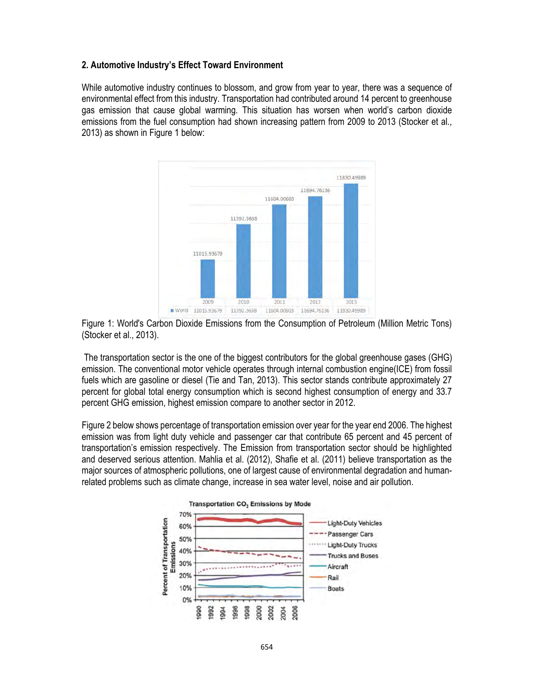#### **2. Automotive Industry's Effect Toward Environment**

While automotive industry continues to blossom, and grow from year to year, there was a sequence of environmental effect from this industry. Transportation had contributed around 14 percent to greenhouse gas emission that cause global warming. This situation has worsen when world's carbon dioxide emissions from the fuel consumption had shown increasing pattern from 2009 to 2013 (Stocker et al., 2013) as shown in Figure 1 below:





 The transportation sector is the one of the biggest contributors for the global greenhouse gases (GHG) emission. The conventional motor vehicle operates through internal combustion engine(ICE) from fossil fuels which are gasoline or diesel (Tie and Tan, 2013). This sector stands contribute approximately 27 percent for global total energy consumption which is second highest consumption of energy and 33.7 percent GHG emission, highest emission compare to another sector in 2012.

Figure 2 below shows percentage of transportation emission over year for the year end 2006. The highest emission was from light duty vehicle and passenger car that contribute 65 percent and 45 percent of transportation's emission respectively. The Emission from transportation sector should be highlighted and deserved serious attention. Mahlia et al. (2012), Shafie et al. (2011) believe transportation as the major sources of atmospheric pollutions, one of largest cause of environmental degradation and humanrelated problems such as climate change, increase in sea water level, noise and air pollution.

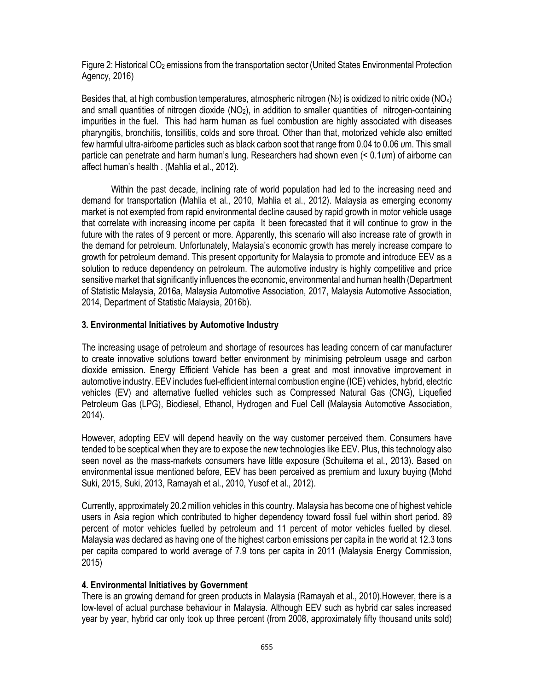Figure 2: Historical CO2 emissions from the transportation sector (United States Environmental Protection Agency, 2016)

Besides that, at high combustion temperatures, atmospheric nitrogen  $(N_2)$  is oxidized to nitric oxide  $(N_2)$ and small quantities of nitrogen dioxide (NO<sub>2</sub>), in addition to smaller quantities of nitrogen-containing impurities in the fuel. This had harm human as fuel combustion are highly associated with diseases pharyngitis, bronchitis, tonsillitis, colds and sore throat. Other than that, motorized vehicle also emitted few harmful ultra-airborne particles such as black carbon soot that range from 0.04 to 0.06 *u*m. This small particle can penetrate and harm human's lung. Researchers had shown even (< 0.1*u*m) of airborne can affect human's health . (Mahlia et al., 2012).

 Within the past decade, inclining rate of world population had led to the increasing need and demand for transportation (Mahlia et al., 2010, Mahlia et al., 2012). Malaysia as emerging economy market is not exempted from rapid environmental decline caused by rapid growth in motor vehicle usage that correlate with increasing income per capita It been forecasted that it will continue to grow in the future with the rates of 9 percent or more. Apparently, this scenario will also increase rate of growth in the demand for petroleum. Unfortunately, Malaysia's economic growth has merely increase compare to growth for petroleum demand. This present opportunity for Malaysia to promote and introduce EEV as a solution to reduce dependency on petroleum. The automotive industry is highly competitive and price sensitive market that significantly influences the economic, environmental and human health (Department of Statistic Malaysia, 2016a, Malaysia Automotive Association, 2017, Malaysia Automotive Association, 2014, Department of Statistic Malaysia, 2016b).

## **3. Environmental Initiatives by Automotive Industry**

The increasing usage of petroleum and shortage of resources has leading concern of car manufacturer to create innovative solutions toward better environment by minimising petroleum usage and carbon dioxide emission. Energy Efficient Vehicle has been a great and most innovative improvement in automotive industry. EEV includes fuel-efficient internal combustion engine (ICE) vehicles, hybrid, electric vehicles (EV) and alternative fuelled vehicles such as Compressed Natural Gas (CNG), Liquefied Petroleum Gas (LPG), Biodiesel, Ethanol, Hydrogen and Fuel Cell (Malaysia Automotive Association, 2014).

However, adopting EEV will depend heavily on the way customer perceived them. Consumers have tended to be sceptical when they are to expose the new technologies like EEV. Plus, this technology also seen novel as the mass-markets consumers have little exposure (Schuitema et al., 2013). Based on environmental issue mentioned before, EEV has been perceived as premium and luxury buying (Mohd Suki, 2015, Suki, 2013, Ramayah et al., 2010, Yusof et al., 2012).

Currently, approximately 20.2 million vehicles in this country. Malaysia has become one of highest vehicle users in Asia region which contributed to higher dependency toward fossil fuel within short period. 89 percent of motor vehicles fuelled by petroleum and 11 percent of motor vehicles fuelled by diesel. Malaysia was declared as having one of the highest carbon emissions per capita in the world at 12.3 tons per capita compared to world average of 7.9 tons per capita in 2011 (Malaysia Energy Commission, 2015)

# **4. Environmental Initiatives by Government**

There is an growing demand for green products in Malaysia (Ramayah et al., 2010).However, there is a low-level of actual purchase behaviour in Malaysia. Although EEV such as hybrid car sales increased year by year, hybrid car only took up three percent (from 2008, approximately fifty thousand units sold)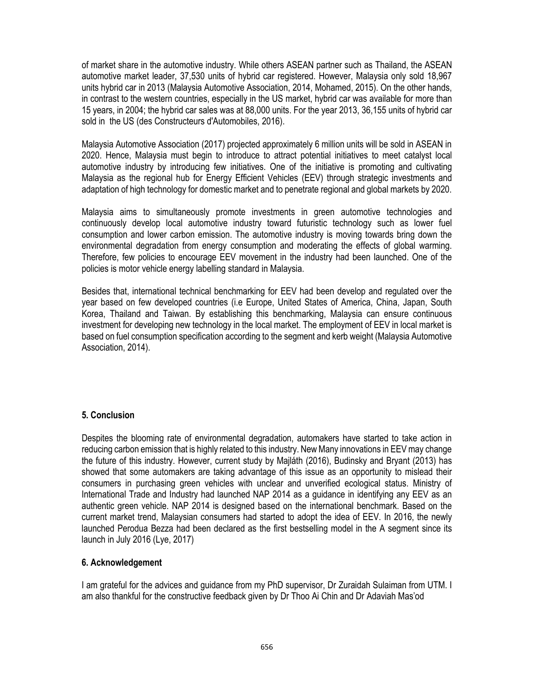of market share in the automotive industry. While others ASEAN partner such as Thailand, the ASEAN automotive market leader, 37,530 units of hybrid car registered. However, Malaysia only sold 18,967 units hybrid car in 2013 (Malaysia Automotive Association, 2014, Mohamed, 2015). On the other hands, in contrast to the western countries, especially in the US market, hybrid car was available for more than 15 years, in 2004; the hybrid car sales was at 88,000 units. For the year 2013, 36,155 units of hybrid car sold in the US (des Constructeurs d'Automobiles, 2016).

Malaysia Automotive Association (2017) projected approximately 6 million units will be sold in ASEAN in 2020. Hence, Malaysia must begin to introduce to attract potential initiatives to meet catalyst local automotive industry by introducing few initiatives. One of the initiative is promoting and cultivating Malaysia as the regional hub for Energy Efficient Vehicles (EEV) through strategic investments and adaptation of high technology for domestic market and to penetrate regional and global markets by 2020.

Malaysia aims to simultaneously promote investments in green automotive technologies and continuously develop local automotive industry toward futuristic technology such as lower fuel consumption and lower carbon emission. The automotive industry is moving towards bring down the environmental degradation from energy consumption and moderating the effects of global warming. Therefore, few policies to encourage EEV movement in the industry had been launched. One of the policies is motor vehicle energy labelling standard in Malaysia.

Besides that, international technical benchmarking for EEV had been develop and regulated over the year based on few developed countries (i.e Europe, United States of America, China, Japan, South Korea, Thailand and Taiwan. By establishing this benchmarking, Malaysia can ensure continuous investment for developing new technology in the local market. The employment of EEV in local market is based on fuel consumption specification according to the segment and kerb weight (Malaysia Automotive Association, 2014).

# **5. Conclusion**

Despites the blooming rate of environmental degradation, automakers have started to take action in reducing carbon emission that is highly related to this industry. New Many innovations in EEV may change the future of this industry. However, current study by Majláth (2016), Budinsky and Bryant (2013) has showed that some automakers are taking advantage of this issue as an opportunity to mislead their consumers in purchasing green vehicles with unclear and unverified ecological status. Ministry of International Trade and Industry had launched NAP 2014 as a guidance in identifying any EEV as an authentic green vehicle. NAP 2014 is designed based on the international benchmark. Based on the current market trend, Malaysian consumers had started to adopt the idea of EEV. In 2016, the newly launched Perodua Bezza had been declared as the first bestselling model in the A segment since its launch in July 2016 (Lye, 2017)

## **6. Acknowledgement**

I am grateful for the advices and guidance from my PhD supervisor, Dr Zuraidah Sulaiman from UTM. I am also thankful for the constructive feedback given by Dr Thoo Ai Chin and Dr Adaviah Mas'od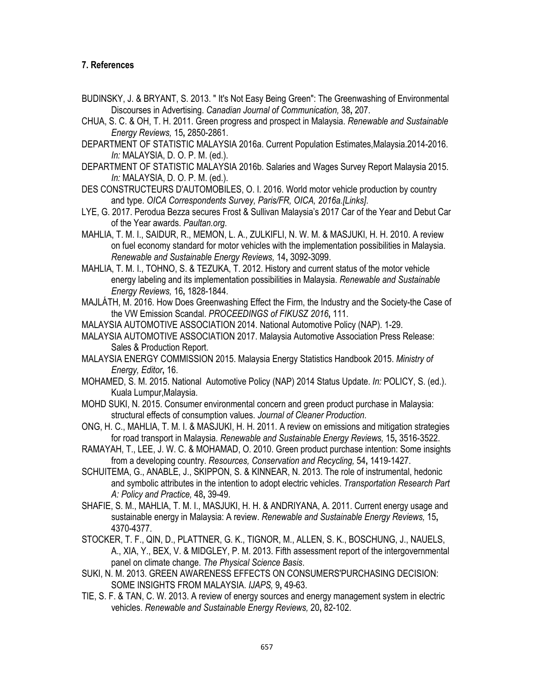## **7. References**

- BUDINSKY, J. & BRYANT, S. 2013. " It's Not Easy Being Green": The Greenwashing of Environmental Discourses in Advertising. *Canadian Journal of Communication,* 38**,** 207.
- CHUA, S. C. & OH, T. H. 2011. Green progress and prospect in Malaysia. *Renewable and Sustainable Energy Reviews,* 15**,** 2850-2861.
- DEPARTMENT OF STATISTIC MALAYSIA 2016a. Current Population Estimates,Malaysia.2014-2016. *In:* MALAYSIA, D. O. P. M. (ed.).
- DEPARTMENT OF STATISTIC MALAYSIA 2016b. Salaries and Wages Survey Report Malaysia 2015. *In:* MALAYSIA, D. O. P. M. (ed.).
- DES CONSTRUCTEURS D'AUTOMOBILES, O. I. 2016. World motor vehicle production by country and type. *OICA Correspondents Survey, Paris/FR, OICA, 2016a.[Links]*.
- LYE, G. 2017. Perodua Bezza secures Frost & Sullivan Malaysia's 2017 Car of the Year and Debut Car of the Year awards. *Paultan.org*.
- MAHLIA, T. M. I., SAIDUR, R., MEMON, L. A., ZULKIFLI, N. W. M. & MASJUKI, H. H. 2010. A review on fuel economy standard for motor vehicles with the implementation possibilities in Malaysia. *Renewable and Sustainable Energy Reviews,* 14**,** 3092-3099.
- MAHLIA, T. M. I., TOHNO, S. & TEZUKA, T. 2012. History and current status of the motor vehicle energy labeling and its implementation possibilities in Malaysia. *Renewable and Sustainable Energy Reviews,* 16**,** 1828-1844.
- MAJLÁTH, M. 2016. How Does Greenwashing Effect the Firm, the Industry and the Society-the Case of the VW Emission Scandal. *PROCEEDINGS of FIKUSZ 2016***,** 111.

MALAYSIA AUTOMOTIVE ASSOCIATION 2014. National Automotive Policy (NAP). 1-29.

- MALAYSIA AUTOMOTIVE ASSOCIATION 2017. Malaysia Automotive Association Press Release: Sales & Production Report.
- MALAYSIA ENERGY COMMISSION 2015. Malaysia Energy Statistics Handbook 2015. *Ministry of Energy, Editor***,** 16.
- MOHAMED, S. M. 2015. National Automotive Policy (NAP) 2014 Status Update. *In:* POLICY, S. (ed.). Kuala Lumpur,Malaysia.
- MOHD SUKI, N. 2015. Consumer environmental concern and green product purchase in Malaysia: structural effects of consumption values. *Journal of Cleaner Production*.
- ONG, H. C., MAHLIA, T. M. I. & MASJUKI, H. H. 2011. A review on emissions and mitigation strategies for road transport in Malaysia. *Renewable and Sustainable Energy Reviews,* 15**,** 3516-3522.
- RAMAYAH, T., LEE, J. W. C. & MOHAMAD, O. 2010. Green product purchase intention: Some insights from a developing country. *Resources, Conservation and Recycling,* 54**,** 1419-1427.
- SCHUITEMA, G., ANABLE, J., SKIPPON, S. & KINNEAR, N. 2013. The role of instrumental, hedonic and symbolic attributes in the intention to adopt electric vehicles. *Transportation Research Part A: Policy and Practice,* 48**,** 39-49.
- SHAFIE, S. M., MAHLIA, T. M. I., MASJUKI, H. H. & ANDRIYANA, A. 2011. Current energy usage and sustainable energy in Malaysia: A review. *Renewable and Sustainable Energy Reviews,* 15**,** 4370-4377.
- STOCKER, T. F., QIN, D., PLATTNER, G. K., TIGNOR, M., ALLEN, S. K., BOSCHUNG, J., NAUELS, A., XIA, Y., BEX, V. & MIDGLEY, P. M. 2013. Fifth assessment report of the intergovernmental panel on climate change. *The Physical Science Basis*.
- SUKI, N. M. 2013. GREEN AWARENESS EFFECTS ON CONSUMERS'PURCHASING DECISION: SOME INSIGHTS FROM MALAYSIA. *IJAPS,* 9**,** 49-63.
- TIE, S. F. & TAN, C. W. 2013. A review of energy sources and energy management system in electric vehicles. *Renewable and Sustainable Energy Reviews,* 20**,** 82-102.